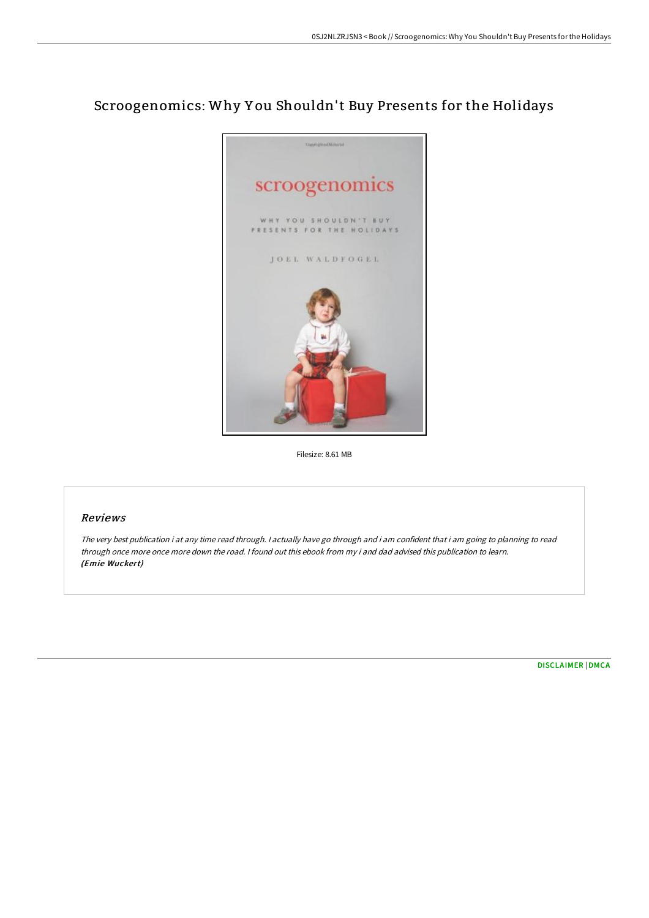## Scroogenomics: Why Y ou Shouldn't Buy Presents for the Holidays



Filesize: 8.61 MB

## Reviews

The very best publication i at any time read through. <sup>I</sup> actually have go through and i am confident that i am going to planning to read through once more once more down the road. <sup>I</sup> found out this ebook from my i and dad advised this publication to learn. (Emie Wuckert)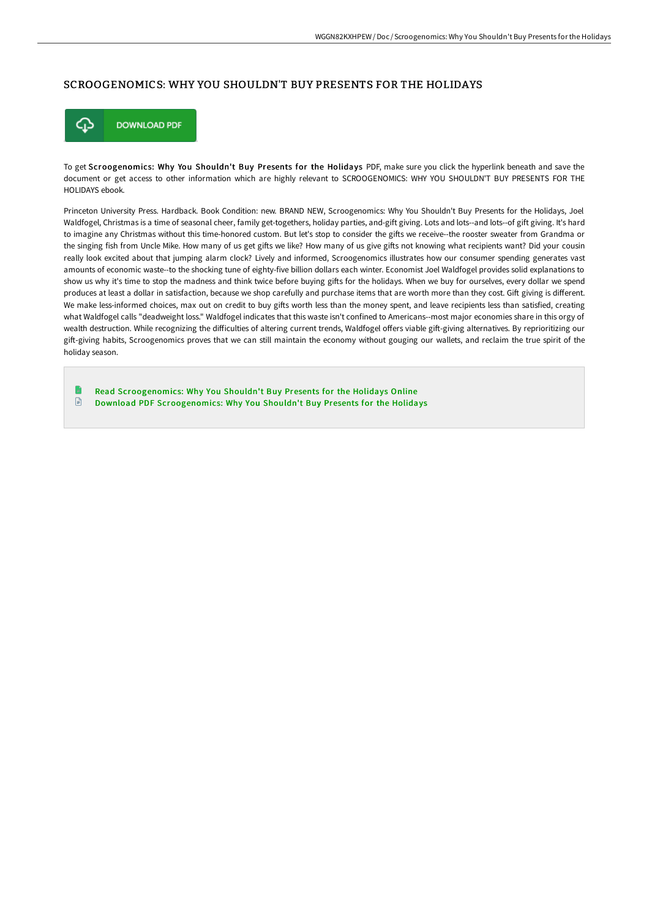## SCROOGENOMICS: WHY YOU SHOULDN'T BUY PRESENTS FOR THE HOLIDAYS



To get Scroogenomics: Why You Shouldn't Buy Presents for the Holidays PDF, make sure you click the hyperlink beneath and save the document or get access to other information which are highly relevant to SCROOGENOMICS: WHY YOU SHOULDN'T BUY PRESENTS FOR THE HOLIDAYS ebook.

Princeton University Press. Hardback. Book Condition: new. BRAND NEW, Scroogenomics: Why You Shouldn't Buy Presents for the Holidays, Joel Waldfogel, Christmas is a time of seasonal cheer, family get-togethers, holiday parties, and-gift giving. Lots and lots--and lots--of gift giving. It's hard to imagine any Christmas without this time-honored custom. But let's stop to consider the gifts we receive--the rooster sweater from Grandma or the singing fish from Uncle Mike. How many of us get gifts we like? How many of us give gifts not knowing what recipients want? Did your cousin really look excited about that jumping alarm clock? Lively and informed, Scroogenomics illustrates how our consumer spending generates vast amounts of economic waste--to the shocking tune of eighty-five billion dollars each winter. Economist Joel Waldfogel provides solid explanations to show us why it's time to stop the madness and think twice before buying gifts for the holidays. When we buy for ourselves, every dollar we spend produces at least a dollar in satisfaction, because we shop carefully and purchase items that are worth more than they cost. Gift giving is different. We make less-informed choices, max out on credit to buy gifts worth less than the money spent, and leave recipients less than satisfied, creating what Waldfogel calls "deadweight loss." Waldfogel indicates that this waste isn't confined to Americans--most major economies share in this orgy of wealth destruction. While recognizing the difficulties of altering current trends, Waldfogel offers viable gift-giving alternatives. By reprioritizing our gift-giving habits, Scroogenomics proves that we can still maintain the economy without gouging our wallets, and reclaim the true spirit of the holiday season.

n Read [Scroogenomics:](http://digilib.live/scroogenomics-why-you-shouldn-x27-t-buy-presents.html) Why You Shouldn't Buy Presents for the Holidays Online  $\mathbf{F}$ Download PDF [Scroogenomics:](http://digilib.live/scroogenomics-why-you-shouldn-x27-t-buy-presents.html) Why You Shouldn't Buy Presents for the Holidays